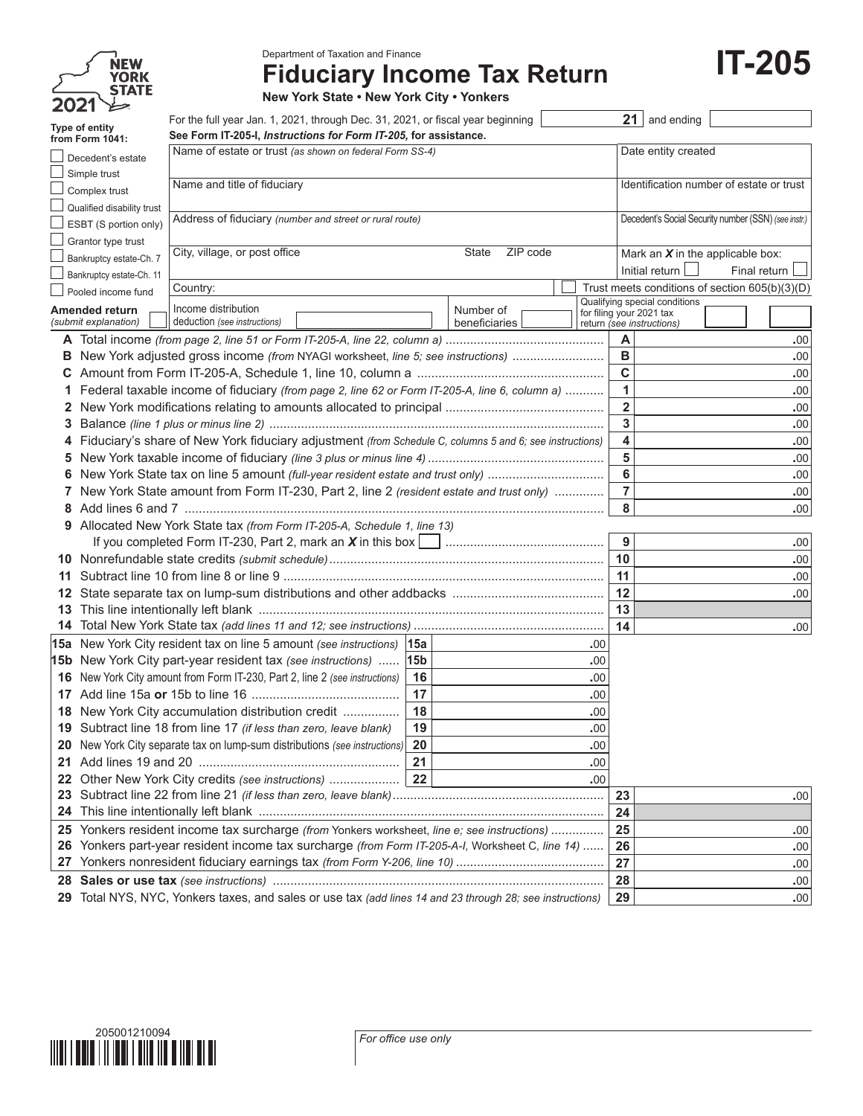|         | NEW                         |
|---------|-----------------------------|
|         | <b>YORK</b><br><b>STATE</b> |
| ハン<br>D |                             |

Department of Taxation and Finance

## **Fiduciary Income Tax Return**

**IT-205**

**New York State • New York City • Yonkers**

|    | Type of entity             | For the full year Jan. 1, 2021, through Dec. 31, 2021, or fiscal year beginning                           |                 |                                          |                          |                         | $21$ and ending               |                                                      |  |
|----|----------------------------|-----------------------------------------------------------------------------------------------------------|-----------------|------------------------------------------|--------------------------|-------------------------|-------------------------------|------------------------------------------------------|--|
|    | from Form 1041:            | See Form IT-205-I, Instructions for Form IT-205, for assistance.                                          |                 |                                          |                          |                         |                               |                                                      |  |
|    | Decedent's estate          | Name of estate or trust (as shown on federal Form SS-4)                                                   |                 |                                          |                          |                         | Date entity created           |                                                      |  |
|    | Simple trust               |                                                                                                           |                 |                                          |                          |                         |                               |                                                      |  |
|    | Complex trust              | Name and title of fiduciary                                                                               |                 | Identification number of estate or trust |                          |                         |                               |                                                      |  |
|    | Qualified disability trust |                                                                                                           |                 |                                          |                          |                         |                               |                                                      |  |
|    | ESBT (S portion only)      | Address of fiduciary (number and street or rural route)                                                   |                 |                                          |                          |                         |                               | Decedent's Social Security number (SSN) (see instr.) |  |
|    | Grantor type trust         |                                                                                                           |                 |                                          |                          |                         |                               |                                                      |  |
|    | Bankruptcy estate-Ch. 7    | City, village, or post office                                                                             |                 | ZIP code<br>State                        |                          |                         |                               | Mark an $X$ in the applicable box:                   |  |
|    | Bankruptcy estate-Ch. 11   |                                                                                                           |                 |                                          |                          |                         | Initial return                | Final return                                         |  |
|    | Pooled income fund         | Country:                                                                                                  |                 |                                          |                          |                         |                               | Trust meets conditions of section 605(b)(3)(D)       |  |
|    | Amended return             | Income distribution                                                                                       |                 | Number of                                |                          |                         | Qualifying special conditions |                                                      |  |
|    | (submit explanation)       | deduction (see instructions)                                                                              |                 | beneficiaries                            | for filing your 2021 tax |                         | return (see instructions)     |                                                      |  |
|    |                            |                                                                                                           |                 |                                          |                          | A                       |                               | .00                                                  |  |
| В  |                            | New York adjusted gross income (from NYAGI worksheet, line 5; see instructions)                           |                 |                                          |                          | в                       |                               | .00.                                                 |  |
| С  |                            |                                                                                                           |                 |                                          |                          | $\mathbf C$             |                               | .00                                                  |  |
| 1  |                            | Federal taxable income of fiduciary (from page 2, line 62 or Form IT-205-A, line 6, column a)             |                 |                                          |                          | $\mathbf{1}$            |                               | .00                                                  |  |
| 2  |                            |                                                                                                           |                 |                                          |                          | $\overline{\mathbf{2}}$ |                               | .00                                                  |  |
| 3  |                            |                                                                                                           |                 |                                          |                          | 3                       |                               | .00                                                  |  |
|    |                            | Fiduciary's share of New York fiduciary adjustment (from Schedule C, columns 5 and 6; see instructions)   |                 |                                          |                          | 4                       |                               | .00                                                  |  |
| 5  |                            |                                                                                                           |                 |                                          |                          | 5                       |                               | .00.                                                 |  |
| 6  |                            | New York State tax on line 5 amount (full-year resident estate and trust only)                            |                 |                                          |                          | 6<br>.00.               |                               |                                                      |  |
| 7  |                            | New York State amount from Form IT-230, Part 2, line 2 (resident estate and trust only)                   |                 |                                          |                          | $\overline{7}$<br>.00   |                               |                                                      |  |
| 8  |                            |                                                                                                           |                 |                                          |                          | 8<br>.00                |                               |                                                      |  |
| 9  |                            | Allocated New York State tax (from Form IT-205-A, Schedule 1, line 13)                                    |                 |                                          |                          |                         |                               |                                                      |  |
|    |                            |                                                                                                           |                 |                                          |                          | 9                       |                               | .00                                                  |  |
|    |                            |                                                                                                           |                 |                                          |                          | 10                      |                               | .00.                                                 |  |
| 11 |                            |                                                                                                           |                 |                                          |                          | 11                      |                               | .00                                                  |  |
| 12 |                            |                                                                                                           |                 |                                          |                          | 12                      |                               | .00                                                  |  |
| 13 |                            |                                                                                                           |                 |                                          |                          | 13                      |                               |                                                      |  |
| 14 |                            |                                                                                                           |                 |                                          |                          | 14                      |                               | .00                                                  |  |
|    |                            | 15a New York City resident tax on line 5 amount (see instructions) 15a                                    |                 |                                          | .00                      |                         |                               |                                                      |  |
|    |                            | 15b New York City part-year resident tax (see instructions)                                               | 15 <sub>b</sub> |                                          | .00                      |                         |                               |                                                      |  |
|    |                            | 16 New York City amount from Form IT-230, Part 2, line 2 (see instructions)                               | 16              |                                          | .00                      |                         |                               |                                                      |  |
|    |                            |                                                                                                           | 17              |                                          | .00                      |                         |                               |                                                      |  |
|    |                            | <b>18</b> New York City accumulation distribution credit                                                  | 18              |                                          | .00                      |                         |                               |                                                      |  |
|    |                            | 19 Subtract line 18 from line 17 (if less than zero, leave blank)                                         | 19              |                                          | .00                      |                         |                               |                                                      |  |
|    |                            | 20 New York City separate tax on lump-sum distributions (see instructions)                                | 20              |                                          | $.00$                    |                         |                               |                                                      |  |
|    |                            |                                                                                                           | 21              |                                          | .00                      |                         |                               |                                                      |  |
| 22 |                            |                                                                                                           |                 |                                          | .00                      |                         |                               |                                                      |  |
| 23 |                            |                                                                                                           |                 |                                          |                          | 23                      |                               | .00                                                  |  |
| 24 |                            |                                                                                                           |                 |                                          |                          | 24                      |                               |                                                      |  |
| 25 |                            | Yonkers resident income tax surcharge (from Yonkers worksheet, line e; see instructions)                  |                 |                                          |                          | 25                      |                               | .00.                                                 |  |
| 26 |                            | Yonkers part-year resident income tax surcharge (from Form IT-205-A-I, Worksheet C, line 14)              |                 |                                          |                          | 26                      |                               | .00                                                  |  |
| 27 |                            |                                                                                                           |                 |                                          |                          | 27                      |                               | .00                                                  |  |
| 28 |                            |                                                                                                           |                 |                                          |                          | 28                      |                               | .00.                                                 |  |
|    |                            | 29 Total NYS, NYC, Yonkers taxes, and sales or use tax (add lines 14 and 23 through 28; see instructions) |                 |                                          |                          | 29                      |                               | .00                                                  |  |
|    |                            |                                                                                                           |                 |                                          |                          |                         |                               |                                                      |  |

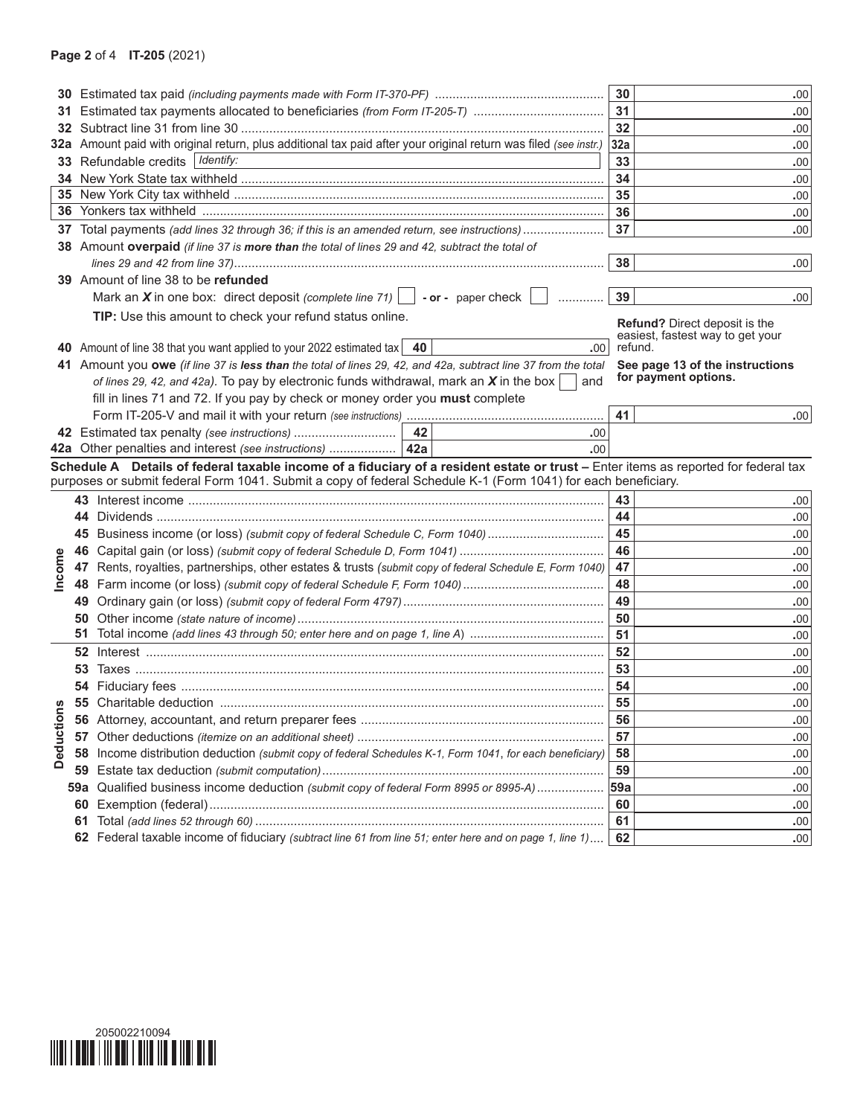|          |          |                                                                                                                                                                                                         | 30       | .00                                  |
|----------|----------|---------------------------------------------------------------------------------------------------------------------------------------------------------------------------------------------------------|----------|--------------------------------------|
| 31.      |          |                                                                                                                                                                                                         | 31       | .00                                  |
|          |          |                                                                                                                                                                                                         | 32       | .00                                  |
|          |          | 32a Amount paid with original return, plus additional tax paid after your original return was filed (see instr.)                                                                                        | 32a      | .00                                  |
|          |          | 33 Refundable credits   Identify:                                                                                                                                                                       | 33       | .00                                  |
|          |          |                                                                                                                                                                                                         | 34       | .00                                  |
|          |          |                                                                                                                                                                                                         | 35       | .00                                  |
|          |          |                                                                                                                                                                                                         | 36       | .00                                  |
| 37       |          | Total payments (add lines 32 through 36; if this is an amended return, see instructions)                                                                                                                | 37       | .00                                  |
|          |          | 38 Amount overpaid (if line 37 is more than the total of lines 29 and 42, subtract the total of                                                                                                         |          |                                      |
|          |          |                                                                                                                                                                                                         | 38       | .00                                  |
|          |          | 39 Amount of line 38 to be refunded                                                                                                                                                                     |          |                                      |
|          |          | Mark an X in one box: direct deposit (complete line 71) $\Box$ - or - paper check                                                                                                                       | 39       | .00                                  |
|          |          | TIP: Use this amount to check your refund status online.                                                                                                                                                |          | <b>Refund?</b> Direct deposit is the |
|          |          |                                                                                                                                                                                                         |          | easiest, fastest way to get your     |
|          |          | 40 Amount of line 38 that you want applied to your 2022 estimated tax   40<br>.00 <sub>1</sub>                                                                                                          |          | refund.                              |
|          |          | 41 Amount you owe (if line 37 is less than the total of lines 29, 42, and 42a, subtract line 37 from the total                                                                                          |          | See page 13 of the instructions      |
|          |          | of lines 29, 42, and 42a). To pay by electronic funds withdrawal, mark an $X$ in the box<br>and                                                                                                         |          | for payment options.                 |
|          |          | fill in lines 71 and 72. If you pay by check or money order you must complete                                                                                                                           |          |                                      |
|          |          |                                                                                                                                                                                                         | 41       | .00                                  |
|          |          | 42 Estimated tax penalty (see instructions)   42<br>.00                                                                                                                                                 |          |                                      |
|          |          | 42a Other penalties and interest (see instructions)   42a<br>.00<br>Schedule A Details of federal taxable income of a fiduciary of a resident estate or trust - Enter items as reported for federal tax |          |                                      |
|          |          |                                                                                                                                                                                                         |          |                                      |
|          |          |                                                                                                                                                                                                         |          |                                      |
|          |          | purposes or submit federal Form 1041. Submit a copy of federal Schedule K-1 (Form 1041) for each beneficiary.                                                                                           |          |                                      |
|          |          |                                                                                                                                                                                                         | 43       | .00                                  |
|          |          |                                                                                                                                                                                                         | 44       | .00                                  |
|          |          | 45 Business income (or loss) (submit copy of federal Schedule C, Form 1040)                                                                                                                             | 45       | .00                                  |
|          |          |                                                                                                                                                                                                         | 46       | .00                                  |
|          |          | 47 Rents, royalties, partnerships, other estates & trusts (submit copy of federal Schedule E, Form 1040)                                                                                                | 47       | .00                                  |
| Income   |          |                                                                                                                                                                                                         | 48       | .00                                  |
|          |          |                                                                                                                                                                                                         | 49       | .00                                  |
|          |          |                                                                                                                                                                                                         | 50       | .00                                  |
|          |          |                                                                                                                                                                                                         | 51       | .00                                  |
|          |          |                                                                                                                                                                                                         | 52       | .00                                  |
|          |          |                                                                                                                                                                                                         | 53       | .00                                  |
| w        |          |                                                                                                                                                                                                         | 54       | .00                                  |
|          |          |                                                                                                                                                                                                         | 55       | .00                                  |
|          | 56<br>57 |                                                                                                                                                                                                         | 56       | .00<br>.00                           |
|          | 58       |                                                                                                                                                                                                         | 57       | .00                                  |
| Deductio | 59       | Income distribution deduction (submit copy of federal Schedules K-1, Form 1041, for each beneficiary)                                                                                                   | 58<br>59 | .00                                  |
|          | 59a      |                                                                                                                                                                                                         | 59a      | .00                                  |
|          | 60       | Qualified business income deduction (submit copy of federal Form 8995 or 8995-A)                                                                                                                        | 60       |                                      |
|          | 61       |                                                                                                                                                                                                         | 61       | .00<br>.00                           |

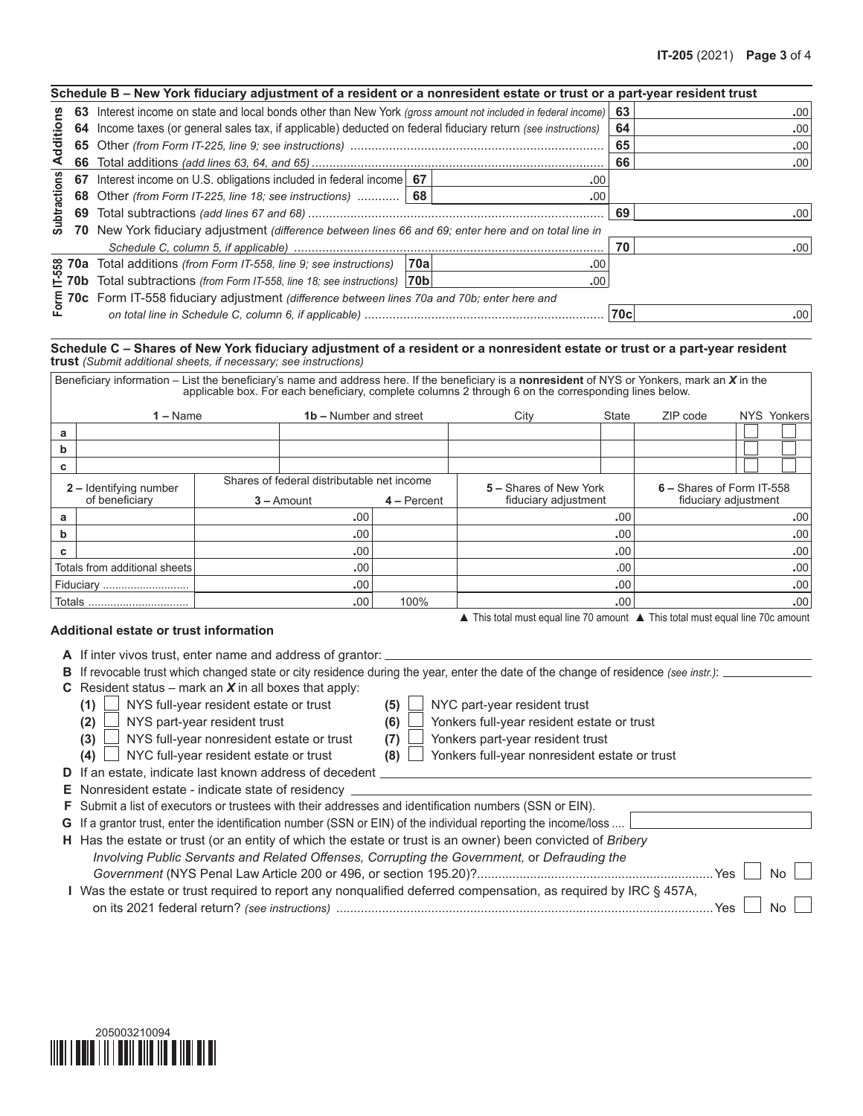|                     |         | Schedule B – New York fiduciary adjustment of a resident or a nonresident estate or trust or a part-year resident trust                                                                         |     |     |            |                  |
|---------------------|---------|-------------------------------------------------------------------------------------------------------------------------------------------------------------------------------------------------|-----|-----|------------|------------------|
|                     | 63      | Interest income on state and local bonds other than New York (gross amount not included in federal income)                                                                                      |     |     | 63         | .00              |
|                     | 64      | Income taxes (or general sales tax, if applicable) deducted on federal fiduciary return (see instructions)                                                                                      |     |     | 64         | .00              |
| Additions           |         |                                                                                                                                                                                                 |     |     | 65         | .00.             |
|                     |         |                                                                                                                                                                                                 |     |     | 66         | .00 <sub>1</sub> |
|                     | 67      | Interest income on U.S. obligations included in federal income   67                                                                                                                             |     | .00 |            |                  |
| <b>Subtractions</b> |         | 68 Other (from Form IT-225, line 18; see instructions)    68                                                                                                                                    |     | .00 |            |                  |
|                     |         |                                                                                                                                                                                                 |     |     | 69         | .00 <sub>1</sub> |
|                     | 70      | New York fiduciary adjustment <i>(difference between lines 66 and 69; enter here and on total line in</i>                                                                                       |     |     |            |                  |
|                     |         |                                                                                                                                                                                                 |     |     | 70         | .00 <sub>1</sub> |
|                     |         | e 70a Total additions (from Form IT-558, line 9; see instructions)                                                                                                                              | 70a | .00 |            |                  |
|                     | $E$ 70b | Total subtractions (from Form IT-558, line 18; see instructions)  70b                                                                                                                           |     | .00 |            |                  |
|                     |         |                                                                                                                                                                                                 |     |     |            |                  |
|                     |         |                                                                                                                                                                                                 |     |     | <b>70c</b> | .00              |
|                     |         |                                                                                                                                                                                                 |     |     |            |                  |
|                     |         | Schedule C – Shares of New York fiduciary adjustment of a resident or a nonresident estate or trust or a part-year resident<br>trust (Submit additional sheets, if necessary; see instructions) |     |     |            |                  |

## Schedule C – Shares of New York fiduciary adjustment of a resident or a nonresident estate or trust or a part-year resident *trust (Submit additional sheets, if necessary; see instructions)*

|   | <b>es 70a</b> Total additions <i>(from Form IT-558, line 9; see instructions)</i><br><b>∟ 70b</b> Total subtractions <i>(from Form IT-558, line 18; see instructions)</i> |  |                                            | ∣70al         |                                                                                                                                                   | .00          |                           |  |             |
|---|---------------------------------------------------------------------------------------------------------------------------------------------------------------------------|--|--------------------------------------------|---------------|---------------------------------------------------------------------------------------------------------------------------------------------------|--------------|---------------------------|--|-------------|
|   | Total subtractions (from Form IT-558, line 18; see instructions) 70b                                                                                                      |  |                                            |               |                                                                                                                                                   | .00          |                           |  |             |
|   | E 70c Form IT-558 fiduciary adjustment (difference between lines 70a and 70b; enter here and $\Omega$ on total line in Schedule C, column 6, if annicable)                |  |                                            |               |                                                                                                                                                   |              |                           |  |             |
|   |                                                                                                                                                                           |  |                                            |               |                                                                                                                                                   | 70c          |                           |  | .001        |
|   |                                                                                                                                                                           |  |                                            |               |                                                                                                                                                   |              |                           |  |             |
|   | <b>trust</b> (Submit additional sheets, if necessary; see instructions)                                                                                                   |  |                                            |               | Schedule C - Shares of New York fiduciary adjustment of a resident or a nonresident estate or trust or a part-year resident                       |              |                           |  |             |
|   |                                                                                                                                                                           |  |                                            |               | Beneficiary information – List the beneficiary's name and address here. If the beneficiary is a nonresident of NYS or Yonkers, mark an $X$ in the |              |                           |  |             |
|   |                                                                                                                                                                           |  |                                            |               | applicable box. For each beneficiary, complete columns 2 through 6 on the corresponding lines below.                                              |              |                           |  |             |
|   | $1 -$ Name                                                                                                                                                                |  | <b>1b – Number and street</b>              |               | City                                                                                                                                              | <b>State</b> | ZIP code                  |  | NYS Yonkers |
| a |                                                                                                                                                                           |  |                                            |               |                                                                                                                                                   |              |                           |  |             |
| b |                                                                                                                                                                           |  |                                            |               |                                                                                                                                                   |              |                           |  |             |
| c |                                                                                                                                                                           |  |                                            |               |                                                                                                                                                   |              |                           |  |             |
|   | <b>2 – Identifying number</b>                                                                                                                                             |  | Shares of federal distributable net income |               | 5 - Shares of New York                                                                                                                            |              | 6 - Shares of Form IT-558 |  |             |
|   | of beneficiary                                                                                                                                                            |  | $3 -$ Amount                               | $4 - Percent$ | fiduciary adjustment                                                                                                                              |              | fiduciary adjustment      |  |             |
| a |                                                                                                                                                                           |  | .00                                        |               |                                                                                                                                                   | .00          |                           |  | .00         |
| b |                                                                                                                                                                           |  | .00                                        |               |                                                                                                                                                   | .00          | .00                       |  |             |
| c |                                                                                                                                                                           |  | .00                                        |               |                                                                                                                                                   | .00          |                           |  | .00.        |
|   | Totals from additional sheets<br>.00                                                                                                                                      |  |                                            |               |                                                                                                                                                   | .00<br>.00   |                           |  |             |
|   |                                                                                                                                                                           |  | .00                                        |               |                                                                                                                                                   | .00          |                           |  | .00.        |
|   | Totals                                                                                                                                                                    |  | .00                                        | 100%          |                                                                                                                                                   | .00          |                           |  | .00         |
|   |                                                                                                                                                                           |  |                                            |               | A This total must equal line 70 amount A This total must equal line 70c amount                                                                    |              |                           |  |             |
|   | Additional estate or trust information                                                                                                                                    |  |                                            |               |                                                                                                                                                   |              |                           |  |             |

|  |  |  |  |  |  |  | A If inter vivos trust, enter name and address of grantor: |  |  |
|--|--|--|--|--|--|--|------------------------------------------------------------|--|--|
|--|--|--|--|--|--|--|------------------------------------------------------------|--|--|

| If revocable trust which changed state or city residence during the year, enter the date of the change of residence (see instr.):<br>В                                                                      |                                               |
|-------------------------------------------------------------------------------------------------------------------------------------------------------------------------------------------------------------|-----------------------------------------------|
| Resident status – mark an $X$ in all boxes that apply:<br>C.                                                                                                                                                |                                               |
| NYS full-year resident estate or trust<br>(1)<br>(5)                                                                                                                                                        | NYC part-year resident trust                  |
| NYS part-year resident trust<br>(2)<br>(6)                                                                                                                                                                  | Yonkers full-year resident estate or trust    |
| NYS full-year nonresident estate or trust<br>(3)<br>(7)                                                                                                                                                     | Yonkers part-year resident trust              |
| NYC full-year resident estate or trust<br>(4)<br>(8)                                                                                                                                                        | Yonkers full-year nonresident estate or trust |
| <b>D</b> If an estate, indicate last known address of decedent                                                                                                                                              |                                               |
| <b>E</b> Nonresident estate - indicate state of residency                                                                                                                                                   |                                               |
| F Submit a list of executors or trustees with their addresses and identification numbers (SSN or EIN).                                                                                                      |                                               |
| G If a grantor trust, enter the identification number (SSN or EIN) of the individual reporting the income/loss                                                                                              |                                               |
| H Has the estate or trust (or an entity of which the estate or trust is an owner) been convicted of Bribery<br>Involving Public Servants and Related Offenses, Corrupting the Government, or Defrauding the |                                               |
|                                                                                                                                                                                                             | Yes<br>N٥                                     |
| Was the estate or trust required to report any nonqualified deferred compensation, as required by IRC § 457A,                                                                                               |                                               |
|                                                                                                                                                                                                             | Yes                                           |
|                                                                                                                                                                                                             |                                               |